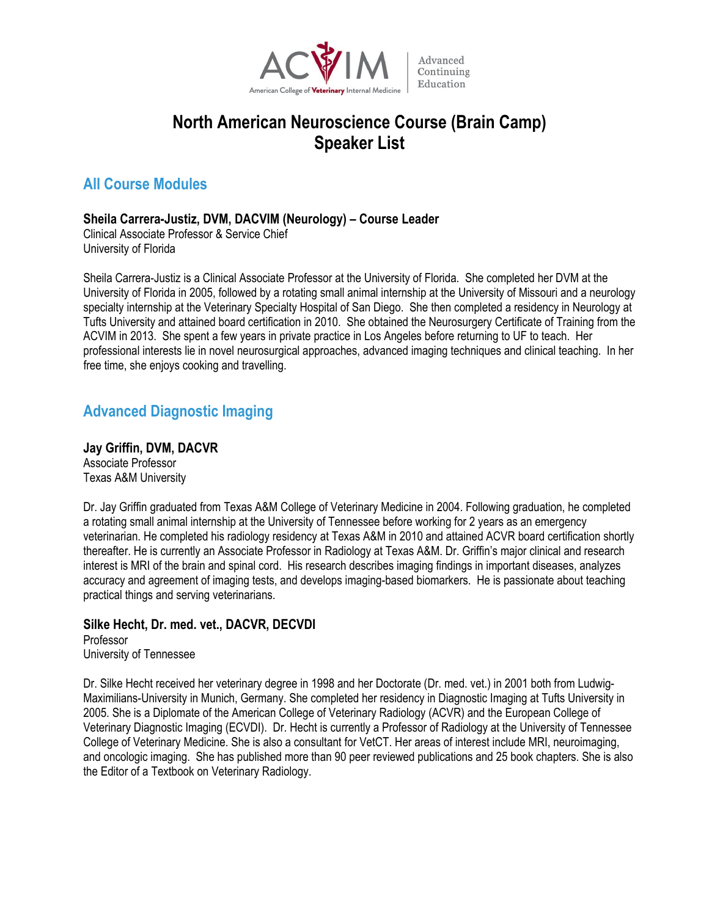

# **North American Neuroscience Course (Brain Camp) Speaker List**

# **All Course Modules**

## **Sheila Carrera-Justiz, DVM, DACVIM (Neurology) – Course Leader**

Clinical Associate Professor & Service Chief University of Florida

Sheila Carrera-Justiz is a Clinical Associate Professor at the University of Florida. She completed her DVM at the University of Florida in 2005, followed by a rotating small animal internship at the University of Missouri and a neurology specialty internship at the Veterinary Specialty Hospital of San Diego. She then completed a residency in Neurology at Tufts University and attained board certification in 2010. She obtained the Neurosurgery Certificate of Training from the ACVIM in 2013. She spent a few years in private practice in Los Angeles before returning to UF to teach. Her professional interests lie in novel neurosurgical approaches, advanced imaging techniques and clinical teaching. In her free time, she enjoys cooking and travelling.

# **Advanced Diagnostic Imaging**

**Jay Griffin, DVM, DACVR** Associate Professor Texas A&M University

Dr. Jay Griffin graduated from Texas A&M College of Veterinary Medicine in 2004. Following graduation, he completed a rotating small animal internship at the University of Tennessee before working for 2 years as an emergency veterinarian. He completed his radiology residency at Texas A&M in 2010 and attained ACVR board certification shortly thereafter. He is currently an Associate Professor in Radiology at Texas A&M. Dr. Griffin's major clinical and research interest is MRI of the brain and spinal cord. His research describes imaging findings in important diseases, analyzes accuracy and agreement of imaging tests, and develops imaging-based biomarkers. He is passionate about teaching practical things and serving veterinarians.

# **Silke Hecht, Dr. med. vet., DACVR, DECVDI**

Professor University of Tennessee

Dr. Silke Hecht received her veterinary degree in 1998 and her Doctorate (Dr. med. vet.) in 2001 both from Ludwig-Maximilians-University in Munich, Germany. She completed her residency in Diagnostic Imaging at Tufts University in 2005. She is a Diplomate of the American College of Veterinary Radiology (ACVR) and the European College of Veterinary Diagnostic Imaging (ECVDI). Dr. Hecht is currently a Professor of Radiology at the University of Tennessee College of Veterinary Medicine. She is also a consultant for VetCT. Her areas of interest include MRI, neuroimaging, and oncologic imaging. She has published more than 90 peer reviewed publications and 25 book chapters. She is also the Editor of a Textbook on Veterinary Radiology.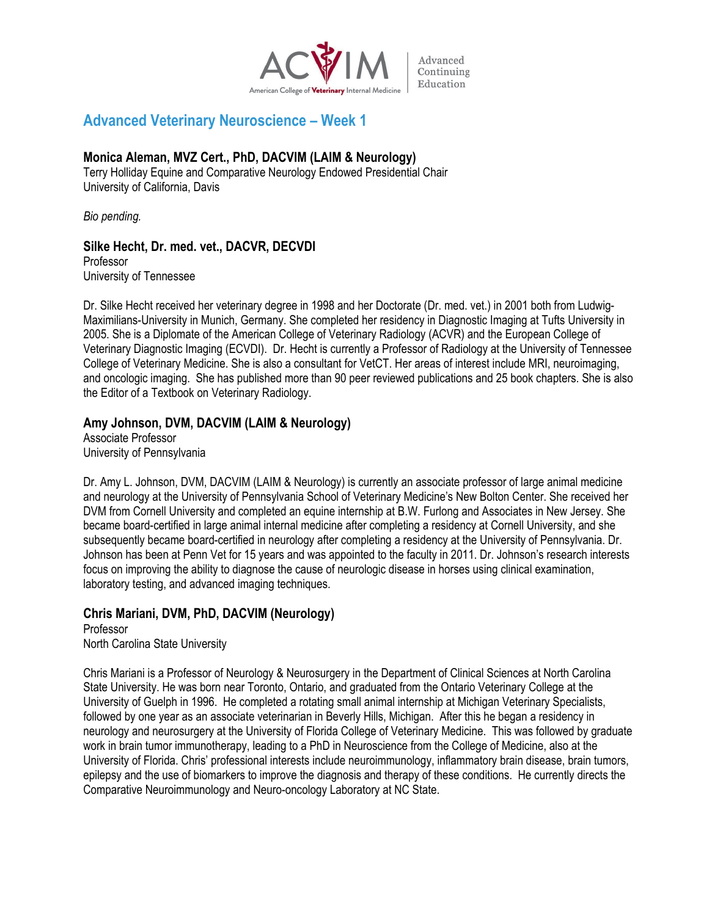

# **Advanced Veterinary Neuroscience – Week 1**

## **Monica Aleman, MVZ Cert., PhD, DACVIM (LAIM & Neurology)**

Terry Holliday Equine and Comparative Neurology Endowed Presidential Chair University of California, Davis

*Bio pending.*

## **Silke Hecht, Dr. med. vet., DACVR, DECVDI** Professor

University of Tennessee

Dr. Silke Hecht received her veterinary degree in 1998 and her Doctorate (Dr. med. vet.) in 2001 both from Ludwig-Maximilians-University in Munich, Germany. She completed her residency in Diagnostic Imaging at Tufts University in 2005. She is a Diplomate of the American College of Veterinary Radiology (ACVR) and the European College of Veterinary Diagnostic Imaging (ECVDI). Dr. Hecht is currently a Professor of Radiology at the University of Tennessee College of Veterinary Medicine. She is also a consultant for VetCT. Her areas of interest include MRI, neuroimaging, and oncologic imaging. She has published more than 90 peer reviewed publications and 25 book chapters. She is also the Editor of a Textbook on Veterinary Radiology.

#### **Amy Johnson, DVM, DACVIM (LAIM & Neurology)**

Associate Professor University of Pennsylvania

Dr. Amy L. Johnson, DVM, DACVIM (LAIM & Neurology) is currently an associate professor of large animal medicine and neurology at the University of Pennsylvania School of Veterinary Medicine's New Bolton Center. She received her DVM from Cornell University and completed an equine internship at B.W. Furlong and Associates in New Jersey. She became board-certified in large animal internal medicine after completing a residency at Cornell University, and she subsequently became board-certified in neurology after completing a residency at the University of Pennsylvania. Dr. Johnson has been at Penn Vet for 15 years and was appointed to the faculty in 2011. Dr. Johnson's research interests focus on improving the ability to diagnose the cause of neurologic disease in horses using clinical examination, laboratory testing, and advanced imaging techniques.

## **Chris Mariani, DVM, PhD, DACVIM (Neurology)**

Professor North Carolina State University

Chris Mariani is a Professor of Neurology & Neurosurgery in the Department of Clinical Sciences at North Carolina State University. He was born near Toronto, Ontario, and graduated from the Ontario Veterinary College at the University of Guelph in 1996. He completed a rotating small animal internship at Michigan Veterinary Specialists, followed by one year as an associate veterinarian in Beverly Hills, Michigan. After this he began a residency in neurology and neurosurgery at the University of Florida College of Veterinary Medicine. This was followed by graduate work in brain tumor immunotherapy, leading to a PhD in Neuroscience from the College of Medicine, also at the University of Florida. Chris' professional interests include neuroimmunology, inflammatory brain disease, brain tumors, epilepsy and the use of biomarkers to improve the diagnosis and therapy of these conditions. He currently directs the Comparative Neuroimmunology and Neuro-oncology Laboratory at NC State.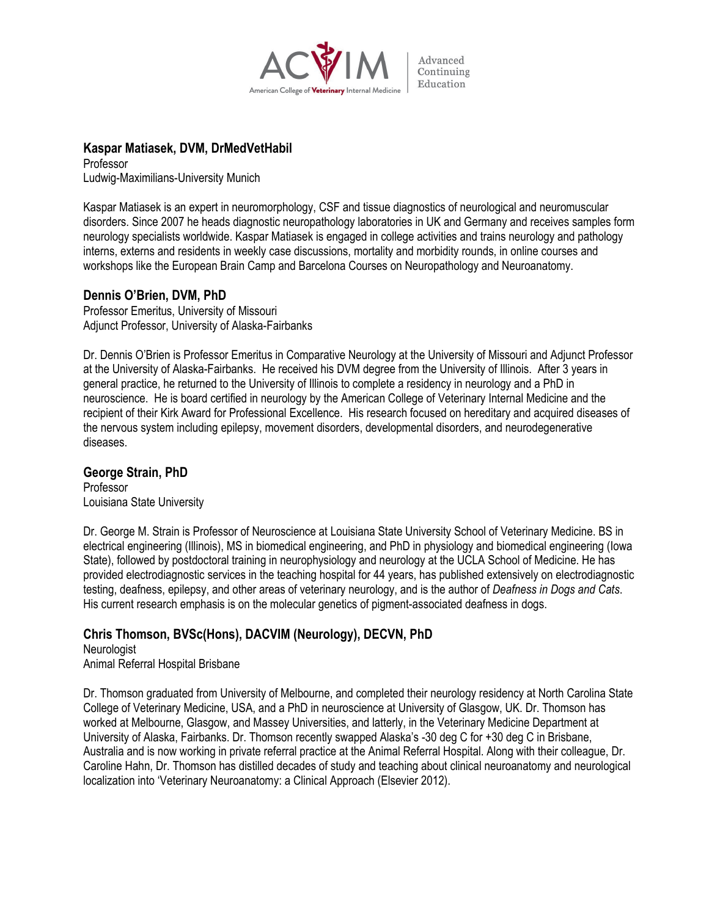

## **Kaspar Matiasek, DVM, DrMedVetHabil**

Professor Ludwig-Maximilians-University Munich

Kaspar Matiasek is an expert in neuromorphology, CSF and tissue diagnostics of neurological and neuromuscular disorders. Since 2007 he heads diagnostic neuropathology laboratories in UK and Germany and receives samples form neurology specialists worldwide. Kaspar Matiasek is engaged in college activities and trains neurology and pathology interns, externs and residents in weekly case discussions, mortality and morbidity rounds, in online courses and workshops like the European Brain Camp and Barcelona Courses on Neuropathology and Neuroanatomy.

## **Dennis O'Brien, DVM, PhD**

Professor Emeritus, University of Missouri Adjunct Professor, University of Alaska-Fairbanks

Dr. Dennis O'Brien is Professor Emeritus in Comparative Neurology at the University of Missouri and Adjunct Professor at the University of Alaska-Fairbanks. He received his DVM degree from the University of Illinois. After 3 years in general practice, he returned to the University of Illinois to complete a residency in neurology and a PhD in neuroscience. He is board certified in neurology by the American College of Veterinary Internal Medicine and the recipient of their Kirk Award for Professional Excellence. His research focused on hereditary and acquired diseases of the nervous system including epilepsy, movement disorders, developmental disorders, and neurodegenerative diseases.

## **George Strain, PhD**

Professor Louisiana State University

Dr. George M. Strain is Professor of Neuroscience at Louisiana State University School of Veterinary Medicine. BS in electrical engineering (Illinois), MS in biomedical engineering, and PhD in physiology and biomedical engineering (Iowa State), followed by postdoctoral training in neurophysiology and neurology at the UCLA School of Medicine. He has provided electrodiagnostic services in the teaching hospital for 44 years, has published extensively on electrodiagnostic testing, deafness, epilepsy, and other areas of veterinary neurology, and is the author of *Deafness in Dogs and Cats*. His current research emphasis is on the molecular genetics of pigment-associated deafness in dogs.

## **Chris Thomson, BVSc(Hons), DACVIM (Neurology), DECVN, PhD**

**Neurologist** Animal Referral Hospital Brisbane

Dr. Thomson graduated from University of Melbourne, and completed their neurology residency at North Carolina State College of Veterinary Medicine, USA, and a PhD in neuroscience at University of Glasgow, UK. Dr. Thomson has worked at Melbourne, Glasgow, and Massey Universities, and latterly, in the Veterinary Medicine Department at University of Alaska, Fairbanks. Dr. Thomson recently swapped Alaska's -30 deg C for +30 deg C in Brisbane, Australia and is now working in private referral practice at the Animal Referral Hospital. Along with their colleague, Dr. Caroline Hahn, Dr. Thomson has distilled decades of study and teaching about clinical neuroanatomy and neurological localization into 'Veterinary Neuroanatomy: a Clinical Approach (Elsevier 2012).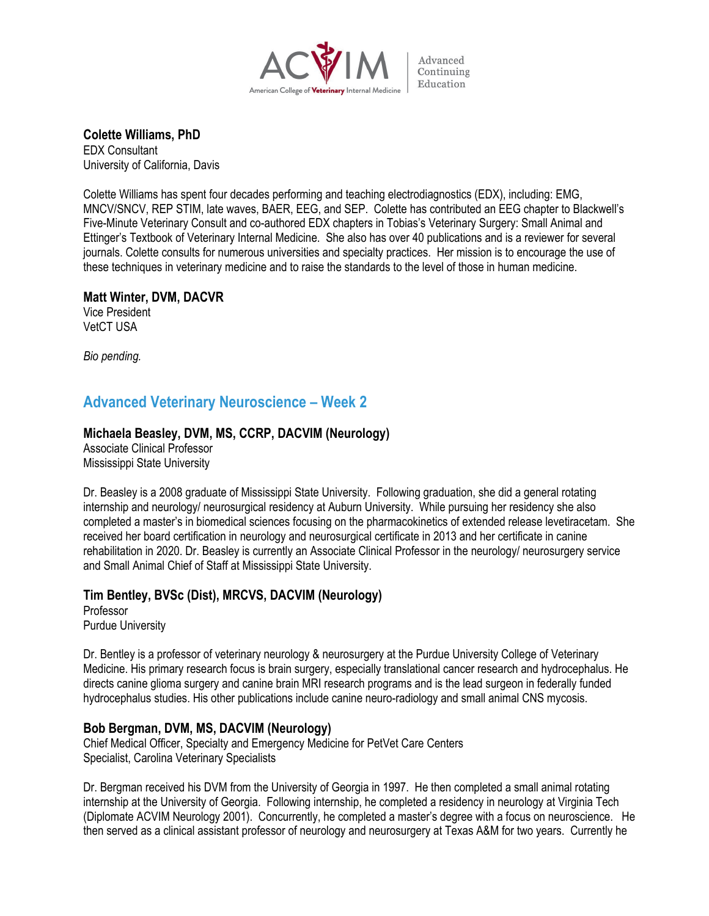

**Colette Williams, PhD**

EDX Consultant University of California, Davis

Colette Williams has spent four decades performing and teaching electrodiagnostics (EDX), including: EMG, MNCV/SNCV, REP STIM, late waves, BAER, EEG, and SEP. Colette has contributed an EEG chapter to Blackwell's Five-Minute Veterinary Consult and co-authored EDX chapters in Tobias's Veterinary Surgery: Small Animal and Ettinger's Textbook of Veterinary Internal Medicine. She also has over 40 publications and is a reviewer for several journals. Colette consults for numerous universities and specialty practices. Her mission is to encourage the use of these techniques in veterinary medicine and to raise the standards to the level of those in human medicine.

#### **Matt Winter, DVM, DACVR**

Vice President VetCT USA

*Bio pending.*

# **Advanced Veterinary Neuroscience – Week 2**

#### **Michaela Beasley, DVM, MS, CCRP, DACVIM (Neurology)**

Associate Clinical Professor Mississippi State University

Dr. Beasley is a 2008 graduate of Mississippi State University. Following graduation, she did a general rotating internship and neurology/ neurosurgical residency at Auburn University. While pursuing her residency she also completed a master's in biomedical sciences focusing on the pharmacokinetics of extended release levetiracetam. She received her board certification in neurology and neurosurgical certificate in 2013 and her certificate in canine rehabilitation in 2020. Dr. Beasley is currently an Associate Clinical Professor in the neurology/ neurosurgery service and Small Animal Chief of Staff at Mississippi State University.

## **Tim Bentley, BVSc (Dist), MRCVS, DACVIM (Neurology)**

Professor Purdue University

Dr. Bentley is a professor of veterinary neurology & neurosurgery at the Purdue University College of Veterinary Medicine. His primary research focus is brain surgery, especially translational cancer research and hydrocephalus. He directs canine glioma surgery and canine brain MRI research programs and is the lead surgeon in federally funded hydrocephalus studies. His other publications include canine neuro-radiology and small animal CNS mycosis.

#### **Bob Bergman, DVM, MS, DACVIM (Neurology)**

Chief Medical Officer, Specialty and Emergency Medicine for PetVet Care Centers Specialist, Carolina Veterinary Specialists

Dr. Bergman received his DVM from the University of Georgia in 1997. He then completed a small animal rotating internship at the University of Georgia. Following internship, he completed a residency in neurology at Virginia Tech (Diplomate ACVIM Neurology 2001). Concurrently, he completed a master's degree with a focus on neuroscience. He then served as a clinical assistant professor of neurology and neurosurgery at Texas A&M for two years. Currently he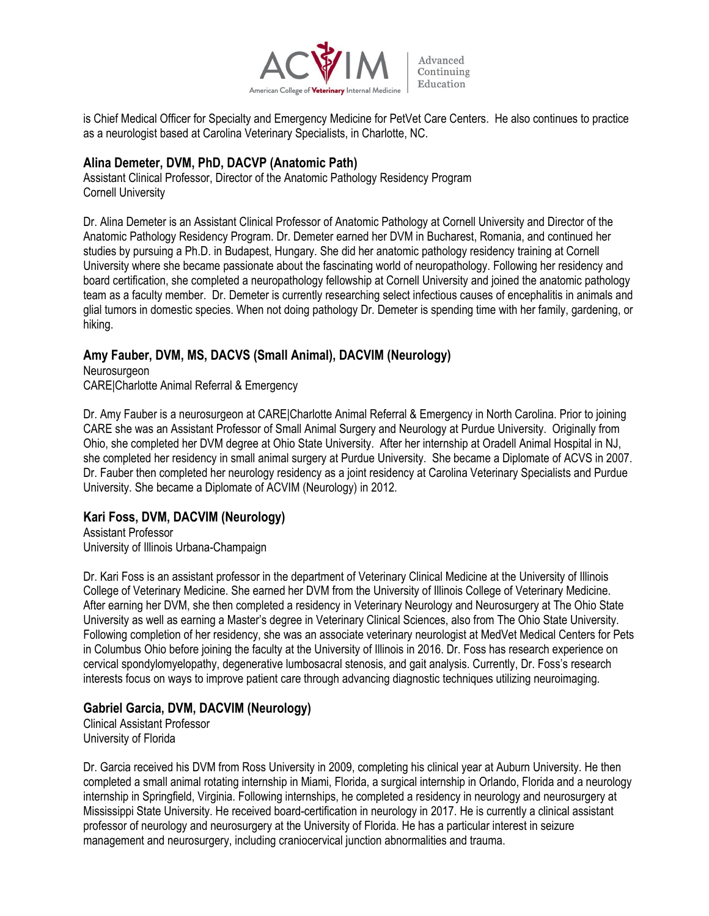

is Chief Medical Officer for Specialty and Emergency Medicine for PetVet Care Centers. He also continues to practice as a neurologist based at Carolina Veterinary Specialists, in Charlotte, NC.

#### **Alina Demeter, DVM, PhD, DACVP (Anatomic Path)**

Assistant Clinical Professor, Director of the Anatomic Pathology Residency Program Cornell University

Dr. Alina Demeter is an Assistant Clinical Professor of Anatomic Pathology at Cornell University and Director of the Anatomic Pathology Residency Program. Dr. Demeter earned her DVM in Bucharest, Romania, and continued her studies by pursuing a Ph.D. in Budapest, Hungary. She did her anatomic pathology residency training at Cornell University where she became passionate about the fascinating world of neuropathology. Following her residency and board certification, she completed a neuropathology fellowship at Cornell University and joined the anatomic pathology team as a faculty member. Dr. Demeter is currently researching select infectious causes of encephalitis in animals and glial tumors in domestic species. When not doing pathology Dr. Demeter is spending time with her family, gardening, or hiking.

## **Amy Fauber, DVM, MS, DACVS (Small Animal), DACVIM (Neurology)**

**Neurosurgeon** CARE|Charlotte Animal Referral & Emergency

Dr. Amy Fauber is a neurosurgeon at CARE|Charlotte Animal Referral & Emergency in North Carolina. Prior to joining CARE she was an Assistant Professor of Small Animal Surgery and Neurology at Purdue University. Originally from Ohio, she completed her DVM degree at Ohio State University. After her internship at Oradell Animal Hospital in NJ, she completed her residency in small animal surgery at Purdue University. She became a Diplomate of ACVS in 2007. Dr. Fauber then completed her neurology residency as a joint residency at Carolina Veterinary Specialists and Purdue University. She became a Diplomate of ACVIM (Neurology) in 2012.

## **Kari Foss, DVM, DACVIM (Neurology)**

Assistant Professor University of Illinois Urbana-Champaign

Dr. Kari Foss is an assistant professor in the department of Veterinary Clinical Medicine at the University of Illinois College of Veterinary Medicine. She earned her DVM from the University of Illinois College of Veterinary Medicine. After earning her DVM, she then completed a residency in Veterinary Neurology and Neurosurgery at The Ohio State University as well as earning a Master's degree in Veterinary Clinical Sciences, also from The Ohio State University. Following completion of her residency, she was an associate veterinary neurologist at MedVet Medical Centers for Pets in Columbus Ohio before joining the faculty at the University of Illinois in 2016. Dr. Foss has research experience on cervical spondylomyelopathy, degenerative lumbosacral stenosis, and gait analysis. Currently, Dr. Foss's research interests focus on ways to improve patient care through advancing diagnostic techniques utilizing neuroimaging.

## **Gabriel Garcia, DVM, DACVIM (Neurology)**

Clinical Assistant Professor University of Florida

Dr. Garcia received his DVM from Ross University in 2009, completing his clinical year at Auburn University. He then completed a small animal rotating internship in Miami, Florida, a surgical internship in Orlando, Florida and a neurology internship in Springfield, Virginia. Following internships, he completed a residency in neurology and neurosurgery at Mississippi State University. He received board-certification in neurology in 2017. He is currently a clinical assistant professor of neurology and neurosurgery at the University of Florida. He has a particular interest in seizure management and neurosurgery, including craniocervical junction abnormalities and trauma.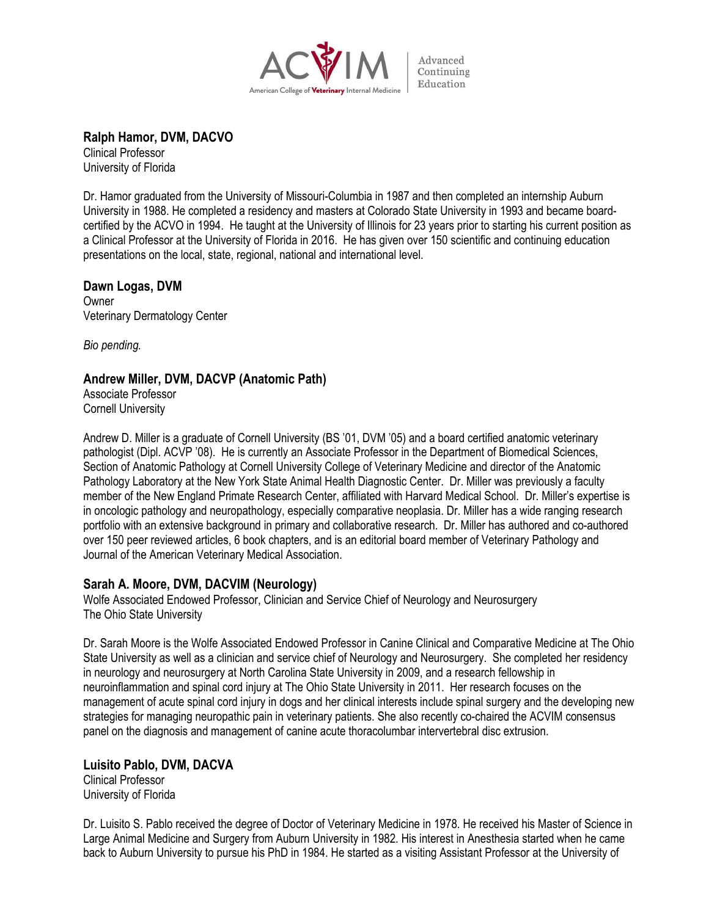

Continuing Education

**Ralph Hamor, DVM, DACVO**

Clinical Professor University of Florida

Dr. Hamor graduated from the University of Missouri-Columbia in 1987 and then completed an internship Auburn University in 1988. He completed a residency and masters at Colorado State University in 1993 and became boardcertified by the ACVO in 1994. He taught at the University of Illinois for 23 years prior to starting his current position as a Clinical Professor at the University of Florida in 2016. He has given over 150 scientific and continuing education presentations on the local, state, regional, national and international level.

**Dawn Logas, DVM Owner** Veterinary Dermatology Center

*Bio pending.*

## **Andrew Miller, DVM, DACVP (Anatomic Path)**

Associate Professor Cornell University

Andrew D. Miller is a graduate of Cornell University (BS '01, DVM '05) and a board certified anatomic veterinary pathologist (Dipl. ACVP '08). He is currently an Associate Professor in the Department of Biomedical Sciences, Section of Anatomic Pathology at Cornell University College of Veterinary Medicine and director of the Anatomic Pathology Laboratory at the New York State Animal Health Diagnostic Center. Dr. Miller was previously a faculty member of the New England Primate Research Center, affiliated with Harvard Medical School. Dr. Miller's expertise is in oncologic pathology and neuropathology, especially comparative neoplasia. Dr. Miller has a wide ranging research portfolio with an extensive background in primary and collaborative research. Dr. Miller has authored and co-authored over 150 peer reviewed articles, 6 book chapters, and is an editorial board member of Veterinary Pathology and Journal of the American Veterinary Medical Association.

#### **Sarah A. Moore, DVM, DACVIM (Neurology)**

Wolfe Associated Endowed Professor, Clinician and Service Chief of Neurology and Neurosurgery The Ohio State University

Dr. Sarah Moore is the Wolfe Associated Endowed Professor in Canine Clinical and Comparative Medicine at The Ohio State University as well as a clinician and service chief of Neurology and Neurosurgery. She completed her residency in neurology and neurosurgery at North Carolina State University in 2009, and a research fellowship in neuroinflammation and spinal cord injury at The Ohio State University in 2011. Her research focuses on the management of acute spinal cord injury in dogs and her clinical interests include spinal surgery and the developing new strategies for managing neuropathic pain in veterinary patients. She also recently co-chaired the ACVIM consensus panel on the diagnosis and management of canine acute thoracolumbar intervertebral disc extrusion.

## **Luisito Pablo, DVM, DACVA**

Clinical Professor University of Florida

Dr. Luisito S. Pablo received the degree of Doctor of Veterinary Medicine in 1978. He received his Master of Science in Large Animal Medicine and Surgery from Auburn University in 1982. His interest in Anesthesia started when he came back to Auburn University to pursue his PhD in 1984. He started as a visiting Assistant Professor at the University of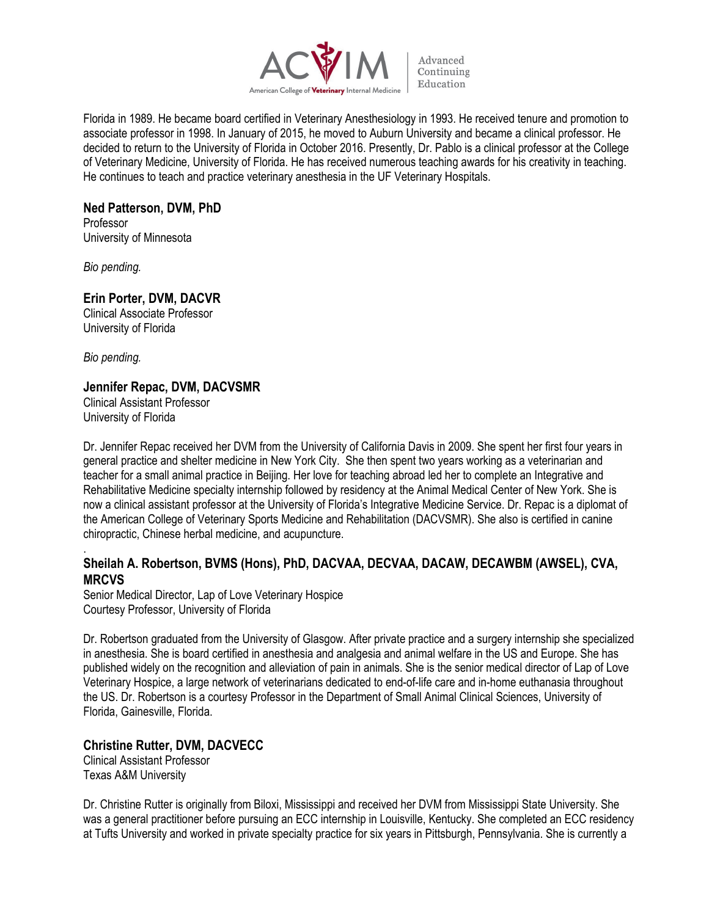

Continuing

Florida in 1989. He became board certified in Veterinary Anesthesiology in 1993. He received tenure and promotion to associate professor in 1998. In January of 2015, he moved to Auburn University and became a clinical professor. He decided to return to the University of Florida in October 2016. Presently, Dr. Pablo is a clinical professor at the College of Veterinary Medicine, University of Florida. He has received numerous teaching awards for his creativity in teaching. He continues to teach and practice veterinary anesthesia in the UF Veterinary Hospitals.

#### **Ned Patterson, DVM, PhD**

Professor University of Minnesota

*Bio pending.*

#### **Erin Porter, DVM, DACVR**

Clinical Associate Professor University of Florida

*Bio pending.*

## **Jennifer Repac, DVM, DACVSMR**

Clinical Assistant Professor University of Florida

Dr. Jennifer Repac received her DVM from the University of California Davis in 2009. She spent her first four years in general practice and shelter medicine in New York City. She then spent two years working as a veterinarian and teacher for a small animal practice in Beijing. Her love for teaching abroad led her to complete an Integrative and Rehabilitative Medicine specialty internship followed by residency at the Animal Medical Center of New York. She is now a clinical assistant professor at the University of Florida's Integrative Medicine Service. Dr. Repac is a diplomat of the American College of Veterinary Sports Medicine and Rehabilitation (DACVSMR). She also is certified in canine chiropractic, Chinese herbal medicine, and acupuncture.

#### . **Sheilah A. Robertson, BVMS (Hons), PhD, DACVAA, DECVAA, DACAW, DECAWBM (AWSEL), CVA, MRCVS**

Senior Medical Director, Lap of Love Veterinary Hospice Courtesy Professor, University of Florida

Dr. Robertson graduated from the University of Glasgow. After private practice and a surgery internship she specialized in anesthesia. She is board certified in anesthesia and analgesia and animal welfare in the US and Europe. She has published widely on the recognition and alleviation of pain in animals. She is the senior medical director of Lap of Love Veterinary Hospice, a large network of veterinarians dedicated to end-of-life care and in-home euthanasia throughout the US. Dr. Robertson is a courtesy Professor in the Department of Small Animal Clinical Sciences, University of Florida, Gainesville, Florida.

#### **Christine Rutter, DVM, DACVECC**

Clinical Assistant Professor Texas A&M University

Dr. Christine Rutter is originally from Biloxi, Mississippi and received her DVM from Mississippi State University. She was a general practitioner before pursuing an ECC internship in Louisville, Kentucky. She completed an ECC residency at Tufts University and worked in private specialty practice for six years in Pittsburgh, Pennsylvania. She is currently a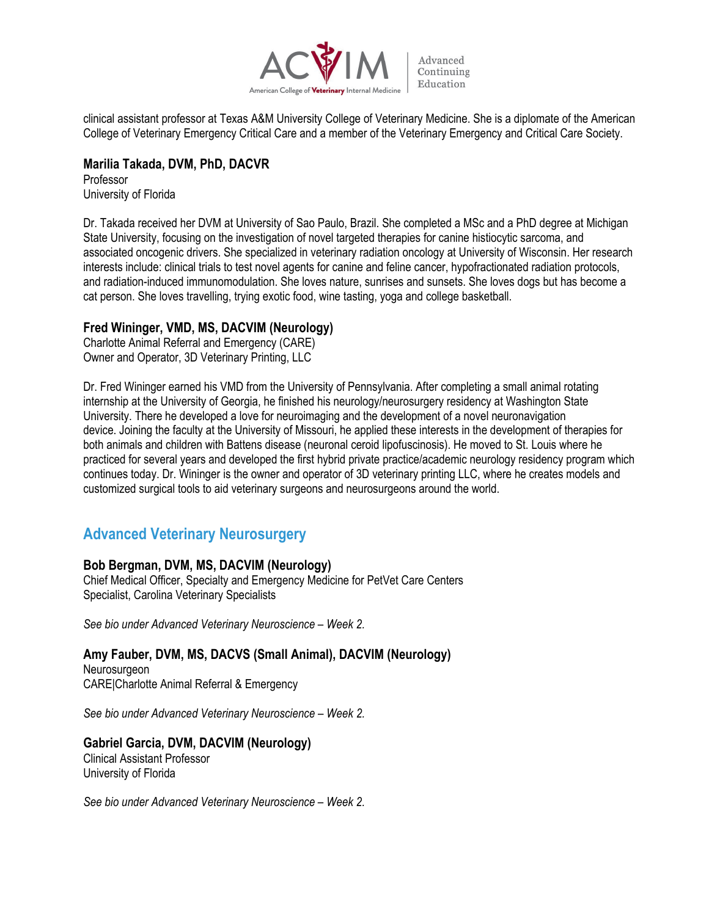

clinical assistant professor at Texas A&M University College of Veterinary Medicine. She is a diplomate of the American College of Veterinary Emergency Critical Care and a member of the Veterinary Emergency and Critical Care Society.

#### **Marilia Takada, DVM, PhD, DACVR**

Professor University of Florida

Dr. Takada received her DVM at University of Sao Paulo, Brazil. She completed a MSc and a PhD degree at Michigan State University, focusing on the investigation of novel targeted therapies for canine histiocytic sarcoma, and associated oncogenic drivers. She specialized in veterinary radiation oncology at University of Wisconsin. Her research interests include: clinical trials to test novel agents for canine and feline cancer, hypofractionated radiation protocols, and radiation-induced immunomodulation. She loves nature, sunrises and sunsets. She loves dogs but has become a cat person. She loves travelling, trying exotic food, wine tasting, yoga and college basketball.

## **Fred Wininger, VMD, MS, DACVIM (Neurology)**

Charlotte Animal Referral and Emergency (CARE) Owner and Operator, 3D Veterinary Printing, LLC

Dr. Fred Wininger earned his VMD from the University of Pennsylvania. After completing a small animal rotating internship at the University of Georgia, he finished his neurology/neurosurgery residency at Washington State University. There he developed a love for neuroimaging and the development of a novel neuronavigation device. Joining the faculty at the University of Missouri, he applied these interests in the development of therapies for both animals and children with Battens disease (neuronal ceroid lipofuscinosis). He moved to St. Louis where he practiced for several years and developed the first hybrid private practice/academic neurology residency program which continues today. Dr. Wininger is the owner and operator of 3D veterinary printing LLC, where he creates models and customized surgical tools to aid veterinary surgeons and neurosurgeons around the world.

# **Advanced Veterinary Neurosurgery**

## **Bob Bergman, DVM, MS, DACVIM (Neurology)**

Chief Medical Officer, Specialty and Emergency Medicine for PetVet Care Centers Specialist, Carolina Veterinary Specialists

*See bio under Advanced Veterinary Neuroscience – Week 2.*

## **Amy Fauber, DVM, MS, DACVS (Small Animal), DACVIM (Neurology)**

**Neurosurgeon** CARE|Charlotte Animal Referral & Emergency

*See bio under Advanced Veterinary Neuroscience – Week 2.*

## **Gabriel Garcia, DVM, DACVIM (Neurology)**

Clinical Assistant Professor University of Florida

*See bio under Advanced Veterinary Neuroscience – Week 2.*